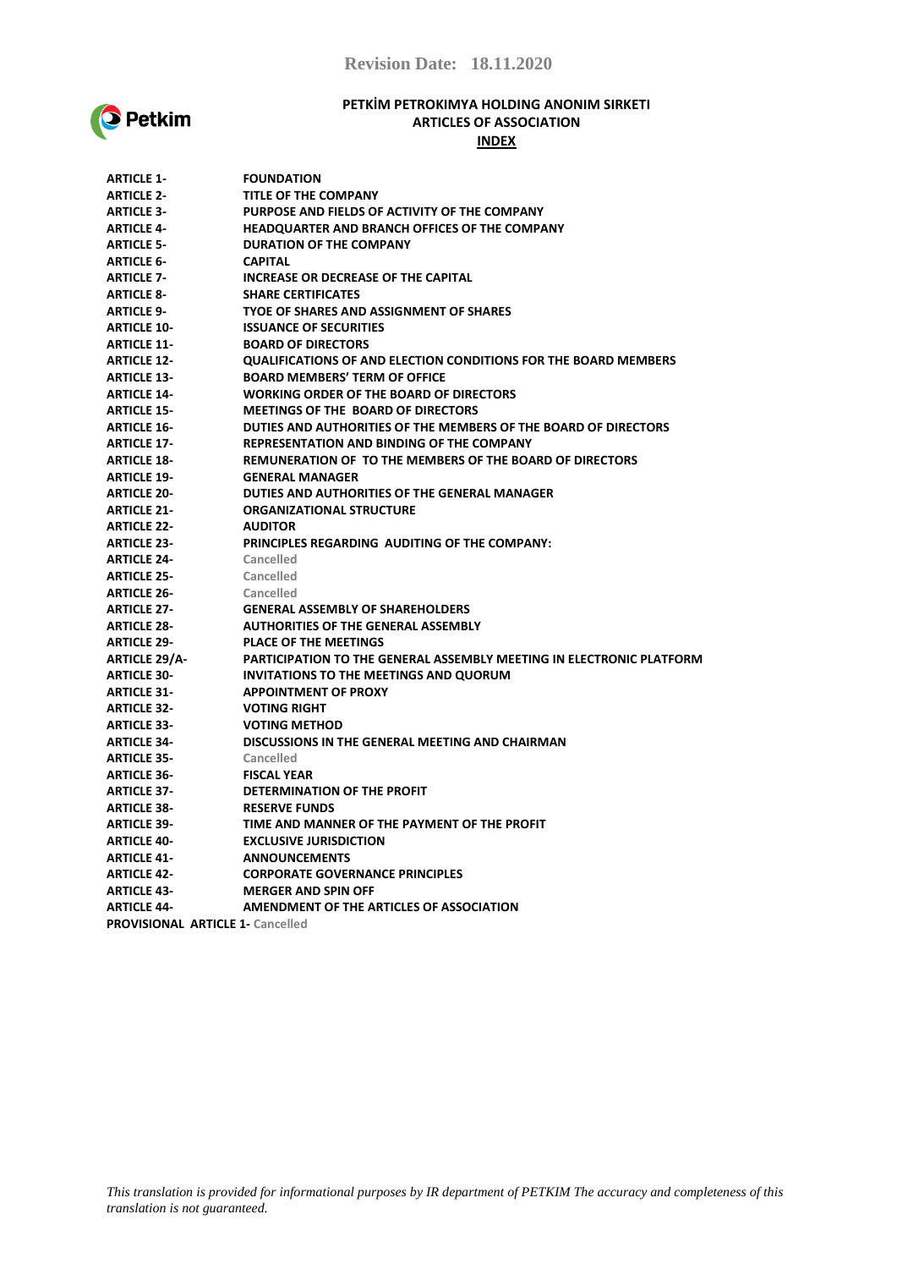

### **PETKİM PETROKIMYA HOLDING ANONIM SIRKETI ARTICLES OF ASSOCIATION INDEX**

| <b>ARTICLE 1-</b>    | <b>FOUNDATION</b>                                                      |
|----------------------|------------------------------------------------------------------------|
| <b>ARTICLE 2-</b>    | <b>TITLE OF THE COMPANY</b>                                            |
| <b>ARTICLE 3-</b>    | PURPOSE AND FIELDS OF ACTIVITY OF THE COMPANY                          |
| <b>ARTICLE 4-</b>    | HEADQUARTER AND BRANCH OFFICES OF THE COMPANY                          |
| <b>ARTICLE 5-</b>    | <b>DURATION OF THE COMPANY</b>                                         |
| <b>ARTICLE 6-</b>    | <b>CAPITAL</b>                                                         |
| <b>ARTICLE 7-</b>    | INCREASE OR DECREASE OF THE CAPITAL                                    |
| <b>ARTICLE 8-</b>    | <b>SHARE CERTIFICATES</b>                                              |
| <b>ARTICLE 9-</b>    | TYOE OF SHARES AND ASSIGNMENT OF SHARES                                |
| <b>ARTICLE 10-</b>   | <b>ISSUANCE OF SECURITIES</b>                                          |
| <b>ARTICLE 11-</b>   | <b>BOARD OF DIRECTORS</b>                                              |
| <b>ARTICLE 12-</b>   | <b>QUALIFICATIONS OF AND ELECTION CONDITIONS FOR THE BOARD MEMBERS</b> |
| <b>ARTICLE 13-</b>   | <b>BOARD MEMBERS' TERM OF OFFICE</b>                                   |
| <b>ARTICLE 14-</b>   | <b>WORKING ORDER OF THE BOARD OF DIRECTORS</b>                         |
| <b>ARTICLE 15-</b>   | <b>MEETINGS OF THE BOARD OF DIRECTORS</b>                              |
| <b>ARTICLE 16-</b>   | DUTIES AND AUTHORITIES OF THE MEMBERS OF THE BOARD OF DIRECTORS        |
| <b>ARTICLE 17-</b>   | <b>REPRESENTATION AND BINDING OF THE COMPANY</b>                       |
| <b>ARTICLE 18-</b>   | REMUNERATION OF TO THE MEMBERS OF THE BOARD OF DIRECTORS               |
| <b>ARTICLE 19-</b>   | <b>GENERAL MANAGER</b>                                                 |
| <b>ARTICLE 20-</b>   | DUTIES AND AUTHORITIES OF THE GENERAL MANAGER                          |
| <b>ARTICLE 21-</b>   | <b>ORGANIZATIONAL STRUCTURE</b>                                        |
| <b>ARTICLE 22-</b>   | <b>AUDITOR</b>                                                         |
| <b>ARTICLE 23-</b>   | PRINCIPLES REGARDING AUDITING OF THE COMPANY:                          |
| <b>ARTICLE 24-</b>   | Cancelled                                                              |
| <b>ARTICLE 25-</b>   | Cancelled                                                              |
| <b>ARTICLE 26-</b>   | Cancelled                                                              |
| <b>ARTICLE 27-</b>   | <b>GENERAL ASSEMBLY OF SHAREHOLDERS</b>                                |
| <b>ARTICLE 28-</b>   | <b>AUTHORITIES OF THE GENERAL ASSEMBLY</b>                             |
| <b>ARTICLE 29-</b>   | <b>PLACE OF THE MEETINGS</b>                                           |
| <b>ARTICLE 29/A-</b> | PARTICIPATION TO THE GENERAL ASSEMBLY MEETING IN ELECTRONIC PLATFORM   |
| <b>ARTICLE 30-</b>   | INVITATIONS TO THE MEETINGS AND QUORUM                                 |
| <b>ARTICLE 31-</b>   | <b>APPOINTMENT OF PROXY</b>                                            |
| <b>ARTICLE 32-</b>   | <b>VOTING RIGHT</b>                                                    |
| <b>ARTICLE 33-</b>   | <b>VOTING METHOD</b>                                                   |
| <b>ARTICLE 34-</b>   | DISCUSSIONS IN THE GENERAL MEETING AND CHAIRMAN                        |
| <b>ARTICLE 35-</b>   | Cancelled                                                              |
| <b>ARTICLE 36-</b>   | <b>FISCAL YEAR</b>                                                     |
| <b>ARTICLE 37-</b>   | DETERMINATION OF THE PROFIT                                            |
| <b>ARTICLE 38-</b>   | <b>RESERVE FUNDS</b>                                                   |
| <b>ARTICLE 39-</b>   | TIME AND MANNER OF THE PAYMENT OF THE PROFIT                           |
| <b>ARTICLE 40-</b>   | <b>EXCLUSIVE JURISDICTION</b>                                          |
| <b>ARTICLE 41-</b>   | <b>ANNOUNCEMENTS</b>                                                   |
| <b>ARTICLE 42-</b>   | <b>CORPORATE GOVERNANCE PRINCIPLES</b>                                 |
| <b>ARTICLE 43-</b>   | <b>MERGER AND SPIN OFF</b>                                             |
| <b>ARTICLE 44-</b>   | AMENDMENT OF THE ARTICLES OF ASSOCIATION                               |
|                      |                                                                        |

**PROVISIONAL ARTICLE 1- Cancelled**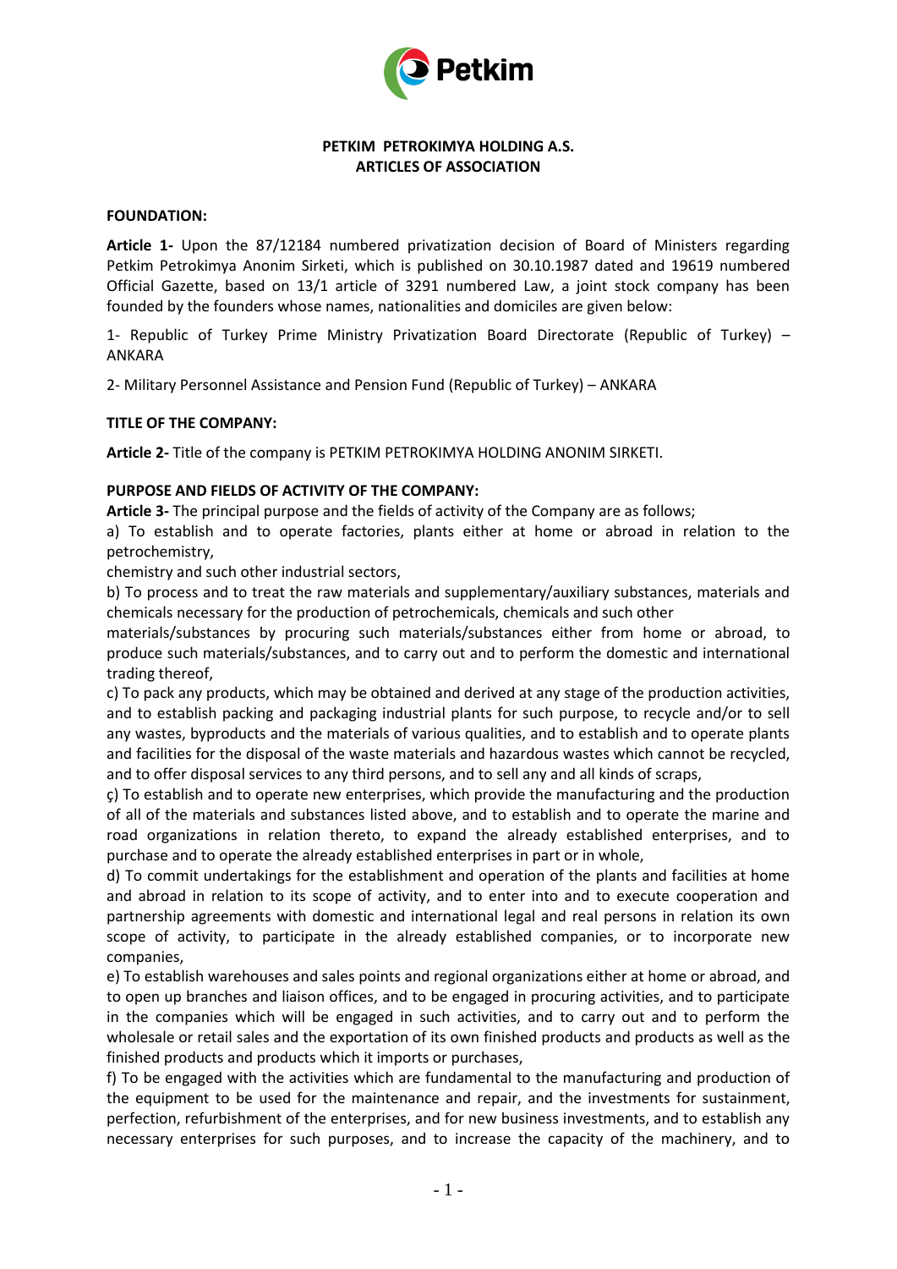

## **PETKIM PETROKIMYA HOLDING A.S. ARTICLES OF ASSOCIATION**

## **FOUNDATION:**

**Article 1-** Upon the 87/12184 numbered privatization decision of Board of Ministers regarding Petkim Petrokimya Anonim Sirketi, which is published on 30.10.1987 dated and 19619 numbered Official Gazette, based on 13/1 article of 3291 numbered Law, a joint stock company has been founded by the founders whose names, nationalities and domiciles are given below:

1- Republic of Turkey Prime Ministry Privatization Board Directorate (Republic of Turkey) – ANKARA

2- Military Personnel Assistance and Pension Fund (Republic of Turkey) – ANKARA

## **TITLE OF THE COMPANY:**

**Article 2-** Title of the company is PETKIM PETROKIMYA HOLDING ANONIM SIRKETI.

## **PURPOSE AND FIELDS OF ACTIVITY OF THE COMPANY:**

**Article 3-** The principal purpose and the fields of activity of the Company are as follows;

a) To establish and to operate factories, plants either at home or abroad in relation to the petrochemistry,

chemistry and such other industrial sectors,

b) To process and to treat the raw materials and supplementary/auxiliary substances, materials and chemicals necessary for the production of petrochemicals, chemicals and such other

materials/substances by procuring such materials/substances either from home or abroad, to produce such materials/substances, and to carry out and to perform the domestic and international trading thereof,

c) To pack any products, which may be obtained and derived at any stage of the production activities, and to establish packing and packaging industrial plants for such purpose, to recycle and/or to sell any wastes, byproducts and the materials of various qualities, and to establish and to operate plants and facilities for the disposal of the waste materials and hazardous wastes which cannot be recycled, and to offer disposal services to any third persons, and to sell any and all kinds of scraps,

ç) To establish and to operate new enterprises, which provide the manufacturing and the production of all of the materials and substances listed above, and to establish and to operate the marine and road organizations in relation thereto, to expand the already established enterprises, and to purchase and to operate the already established enterprises in part or in whole,

d) To commit undertakings for the establishment and operation of the plants and facilities at home and abroad in relation to its scope of activity, and to enter into and to execute cooperation and partnership agreements with domestic and international legal and real persons in relation its own scope of activity, to participate in the already established companies, or to incorporate new companies,

e) To establish warehouses and sales points and regional organizations either at home or abroad, and to open up branches and liaison offices, and to be engaged in procuring activities, and to participate in the companies which will be engaged in such activities, and to carry out and to perform the wholesale or retail sales and the exportation of its own finished products and products as well as the finished products and products which it imports or purchases,

f) To be engaged with the activities which are fundamental to the manufacturing and production of the equipment to be used for the maintenance and repair, and the investments for sustainment, perfection, refurbishment of the enterprises, and for new business investments, and to establish any necessary enterprises for such purposes, and to increase the capacity of the machinery, and to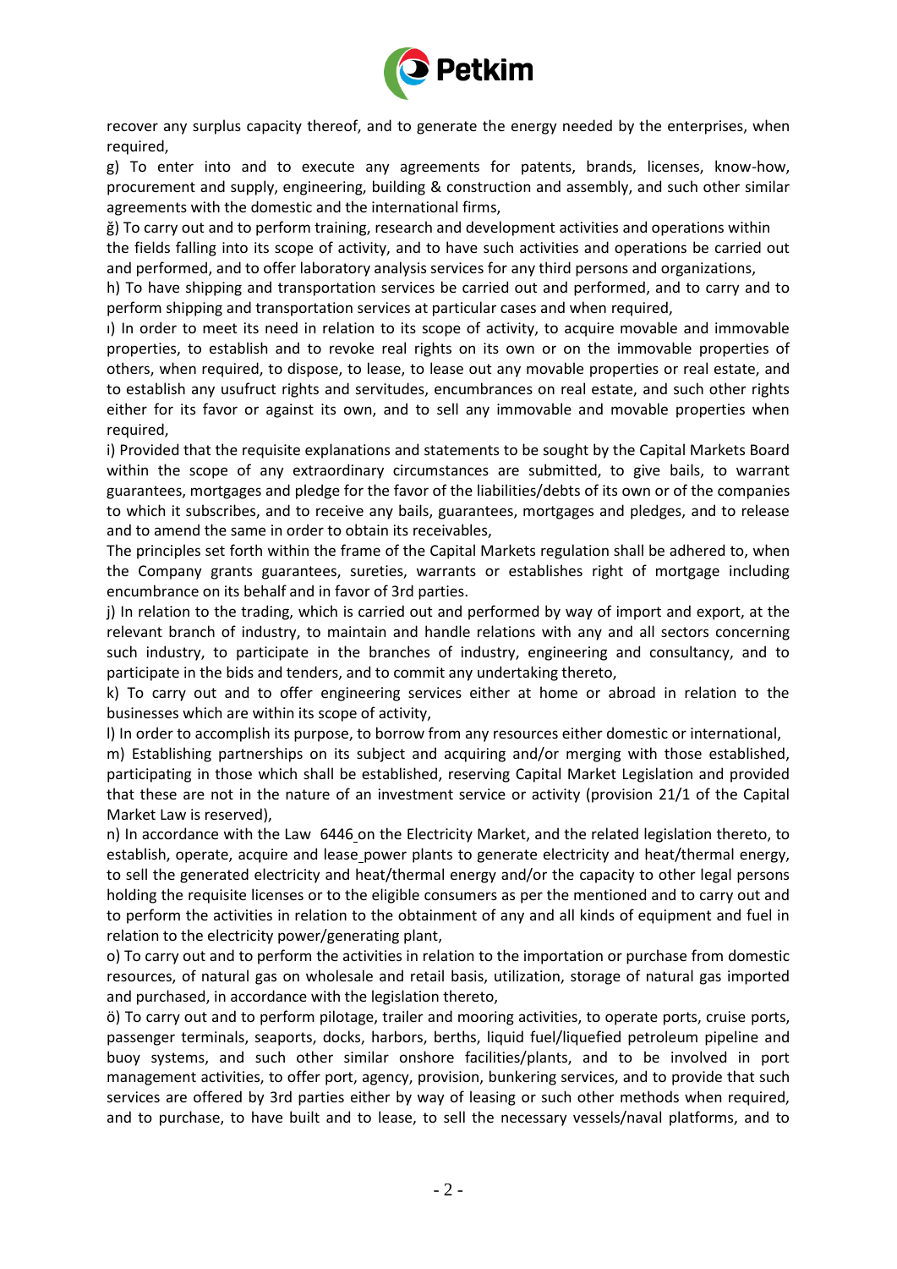

recover any surplus capacity thereof, and to generate the energy needed by the enterprises, when required,

g) To enter into and to execute any agreements for patents, brands, licenses, know-how, procurement and supply, engineering, building & construction and assembly, and such other similar agreements with the domestic and the international firms,

ğ) To carry out and to perform training, research and development activities and operations within the fields falling into its scope of activity, and to have such activities and operations be carried out and performed, and to offer laboratory analysis services for any third persons and organizations,

h) To have shipping and transportation services be carried out and performed, and to carry and to perform shipping and transportation services at particular cases and when required,

ı) In order to meet its need in relation to its scope of activity, to acquire movable and immovable properties, to establish and to revoke real rights on its own or on the immovable properties of others, when required, to dispose, to lease, to lease out any movable properties or real estate, and to establish any usufruct rights and servitudes, encumbrances on real estate, and such other rights either for its favor or against its own, and to sell any immovable and movable properties when required,

i) Provided that the requisite explanations and statements to be sought by the Capital Markets Board within the scope of any extraordinary circumstances are submitted, to give bails, to warrant guarantees, mortgages and pledge for the favor of the liabilities/debts of its own or of the companies to which it subscribes, and to receive any bails, guarantees, mortgages and pledges, and to release and to amend the same in order to obtain its receivables,

The principles set forth within the frame of the Capital Markets regulation shall be adhered to, when the Company grants guarantees, sureties, warrants or establishes right of mortgage including encumbrance on its behalf and in favor of 3rd parties.

j) In relation to the trading, which is carried out and performed by way of import and export, at the relevant branch of industry, to maintain and handle relations with any and all sectors concerning such industry, to participate in the branches of industry, engineering and consultancy, and to participate in the bids and tenders, and to commit any undertaking thereto,

k) To carry out and to offer engineering services either at home or abroad in relation to the businesses which are within its scope of activity,

l) In order to accomplish its purpose, to borrow from any resources either domestic or international,

m) Establishing partnerships on its subject and acquiring and/or merging with those established, participating in those which shall be established, reserving Capital Market Legislation and provided that these are not in the nature of an investment service or activity (provision 21/1 of the Capital Market Law is reserved),

n) In accordance with the Law 6446 on the Electricity Market, and the related legislation thereto, to establish, operate, acquire and lease power plants to generate electricity and heat/thermal energy, to sell the generated electricity and heat/thermal energy and/or the capacity to other legal persons holding the requisite licenses or to the eligible consumers as per the mentioned and to carry out and to perform the activities in relation to the obtainment of any and all kinds of equipment and fuel in relation to the electricity power/generating plant,

o) To carry out and to perform the activities in relation to the importation or purchase from domestic resources, of natural gas on wholesale and retail basis, utilization, storage of natural gas imported and purchased, in accordance with the legislation thereto,

ö) To carry out and to perform pilotage, trailer and mooring activities, to operate ports, cruise ports, passenger terminals, seaports, docks, harbors, berths, liquid fuel/liquefied petroleum pipeline and buoy systems, and such other similar onshore facilities/plants, and to be involved in port management activities, to offer port, agency, provision, bunkering services, and to provide that such services are offered by 3rd parties either by way of leasing or such other methods when required, and to purchase, to have built and to lease, to sell the necessary vessels/naval platforms, and to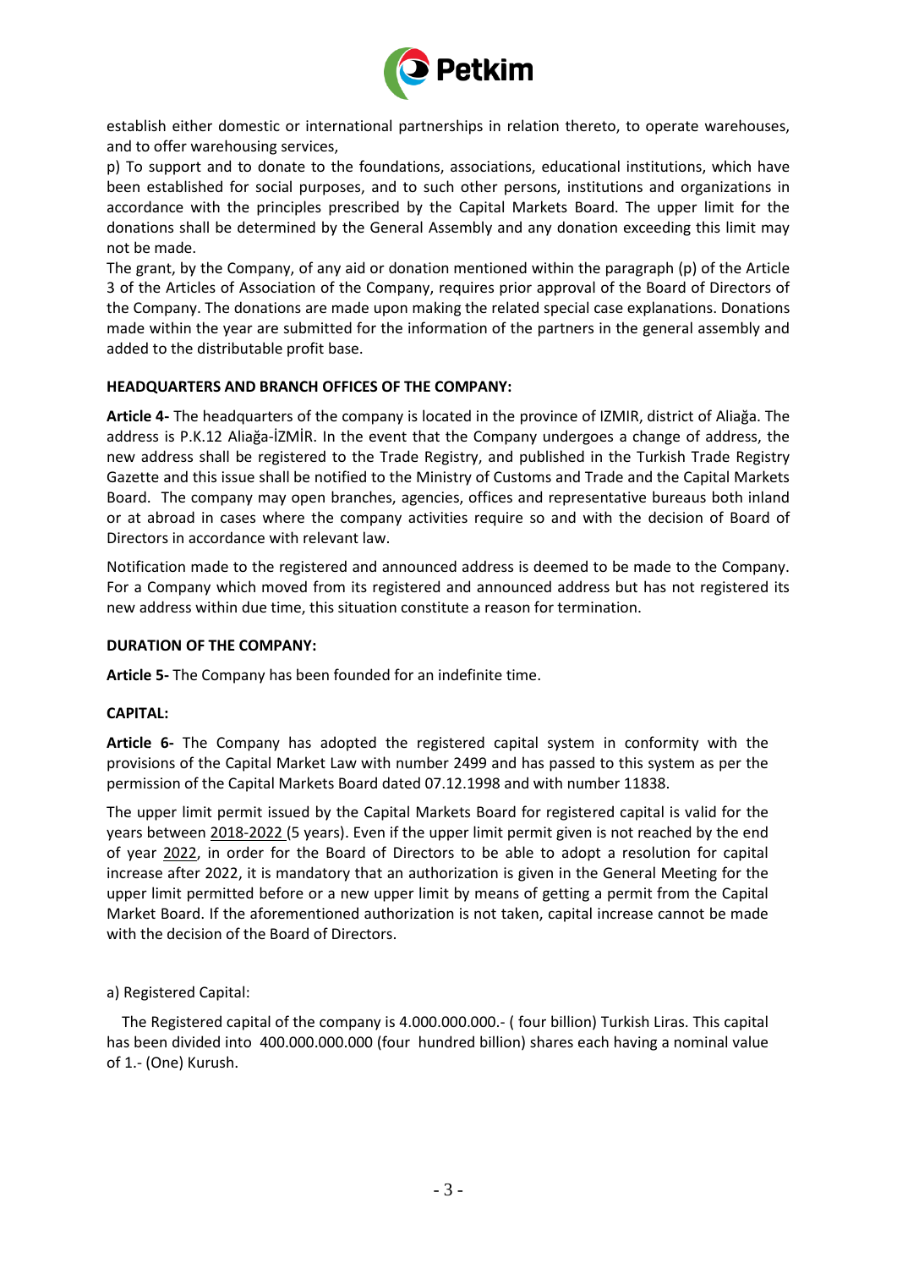

establish either domestic or international partnerships in relation thereto, to operate warehouses, and to offer warehousing services,

p) To support and to donate to the foundations, associations, educational institutions, which have been established for social purposes, and to such other persons, institutions and organizations in accordance with the principles prescribed by the Capital Markets Board. The upper limit for the donations shall be determined by the General Assembly and any donation exceeding this limit may not be made.

The grant, by the Company, of any aid or donation mentioned within the paragraph (p) of the Article 3 of the Articles of Association of the Company, requires prior approval of the Board of Directors of the Company. The donations are made upon making the related special case explanations. Donations made within the year are submitted for the information of the partners in the general assembly and added to the distributable profit base.

# **HEADQUARTERS AND BRANCH OFFICES OF THE COMPANY:**

**Article 4-** The headquarters of the company is located in the province of IZMIR, district of Aliağa. The address is P.K.12 Aliağa-İZMİR. In the event that the Company undergoes a change of address, the new address shall be registered to the Trade Registry, and published in the Turkish Trade Registry Gazette and this issue shall be notified to the Ministry of Customs and Trade and the Capital Markets Board. The company may open branches, agencies, offices and representative bureaus both inland or at abroad in cases where the company activities require so and with the decision of Board of Directors in accordance with relevant law.

Notification made to the registered and announced address is deemed to be made to the Company. For a Company which moved from its registered and announced address but has not registered its new address within due time, this situation constitute a reason for termination.

## **DURATION OF THE COMPANY:**

**Article 5-** The Company has been founded for an indefinite time.

## **CAPITAL:**

**Article 6-** The Company has adopted the registered capital system in conformity with the provisions of the Capital Market Law with number 2499 and has passed to this system as per the permission of the Capital Markets Board dated 07.12.1998 and with number 11838.

The upper limit permit issued by the Capital Markets Board for registered capital is valid for the years between 2018-2022 (5 years). Even if the upper limit permit given is not reached by the end of year 2022, in order for the Board of Directors to be able to adopt a resolution for capital increase after 2022, it is mandatory that an authorization is given in the General Meeting for the upper limit permitted before or a new upper limit by means of getting a permit from the Capital Market Board. If the aforementioned authorization is not taken, capital increase cannot be made with the decision of the Board of Directors.

## a) Registered Capital:

 The Registered capital of the company is 4.000.000.000.- ( four billion) Turkish Liras. This capital has been divided into 400.000.000.000 (four hundred billion) shares each having a nominal value of 1.- (One) Kurush.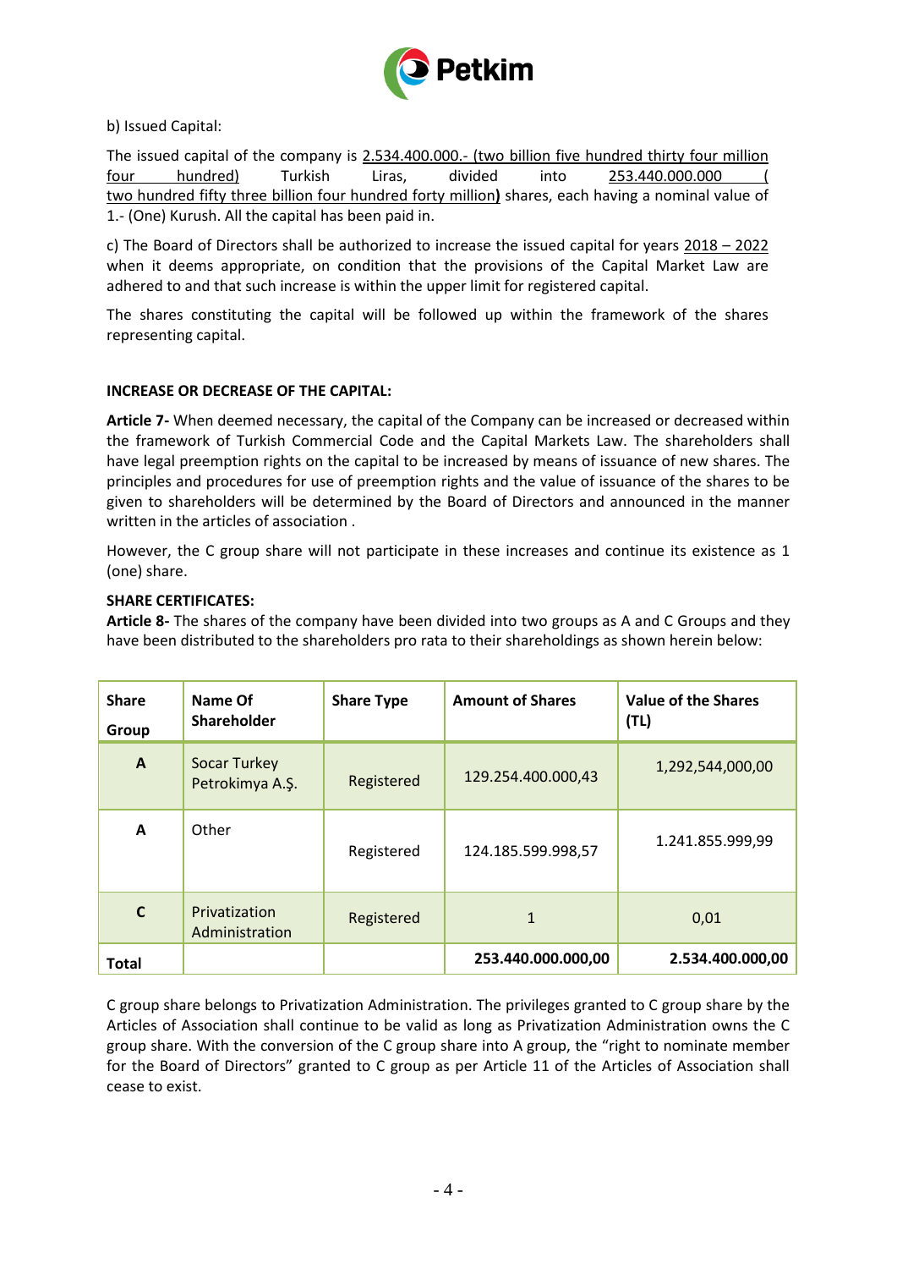

b) Issued Capital:

The issued capital of the company is 2.534.400.000.- (two billion five hundred thirty four million four hundred) Turkish Liras, divided into 253.440.000.000 ( two hundred fifty three billion four hundred forty million**)** shares, each having a nominal value of 1.- (One) Kurush. All the capital has been paid in.

c) The Board of Directors shall be authorized to increase the issued capital for years 2018 – 2022 when it deems appropriate, on condition that the provisions of the Capital Market Law are adhered to and that such increase is within the upper limit for registered capital.

The shares constituting the capital will be followed up within the framework of the shares representing capital.

# **INCREASE OR DECREASE OF THE CAPITAL:**

**Article 7-** When deemed necessary, the capital of the Company can be increased or decreased within the framework of Turkish Commercial Code and the Capital Markets Law. The shareholders shall have legal preemption rights on the capital to be increased by means of issuance of new shares. The principles and procedures for use of preemption rights and the value of issuance of the shares to be given to shareholders will be determined by the Board of Directors and announced in the manner written in the articles of association .

However, the C group share will not participate in these increases and continue its existence as 1 (one) share.

# **SHARE CERTIFICATES:**

**Article 8-** The shares of the company have been divided into two groups as A and C Groups and they have been distributed to the shareholders pro rata to their shareholdings as shown herein below:

| <b>Share</b><br><b>Group</b> | Name Of<br>Shareholder                 | <b>Share Type</b> | <b>Amount of Shares</b> | <b>Value of the Shares</b><br>(TL) |
|------------------------------|----------------------------------------|-------------------|-------------------------|------------------------------------|
| $\mathbf{A}$                 | <b>Socar Turkey</b><br>Petrokimya A.Ş. | Registered        | 129.254.400.000,43      | 1,292,544,000,00                   |
| A                            | Other                                  | Registered        | 124.185.599.998,57      | 1.241.855.999,99                   |
| $\mathsf{C}$                 | Privatization<br>Administration        | Registered        | 1                       | 0,01                               |
| <b>Total</b>                 |                                        |                   | 253.440.000.000,00      | 2.534.400.000,00                   |

C group share belongs to Privatization Administration. The privileges granted to C group share by the Articles of Association shall continue to be valid as long as Privatization Administration owns the C group share. With the conversion of the C group share into A group, the "right to nominate member for the Board of Directors" granted to C group as per Article 11 of the Articles of Association shall cease to exist.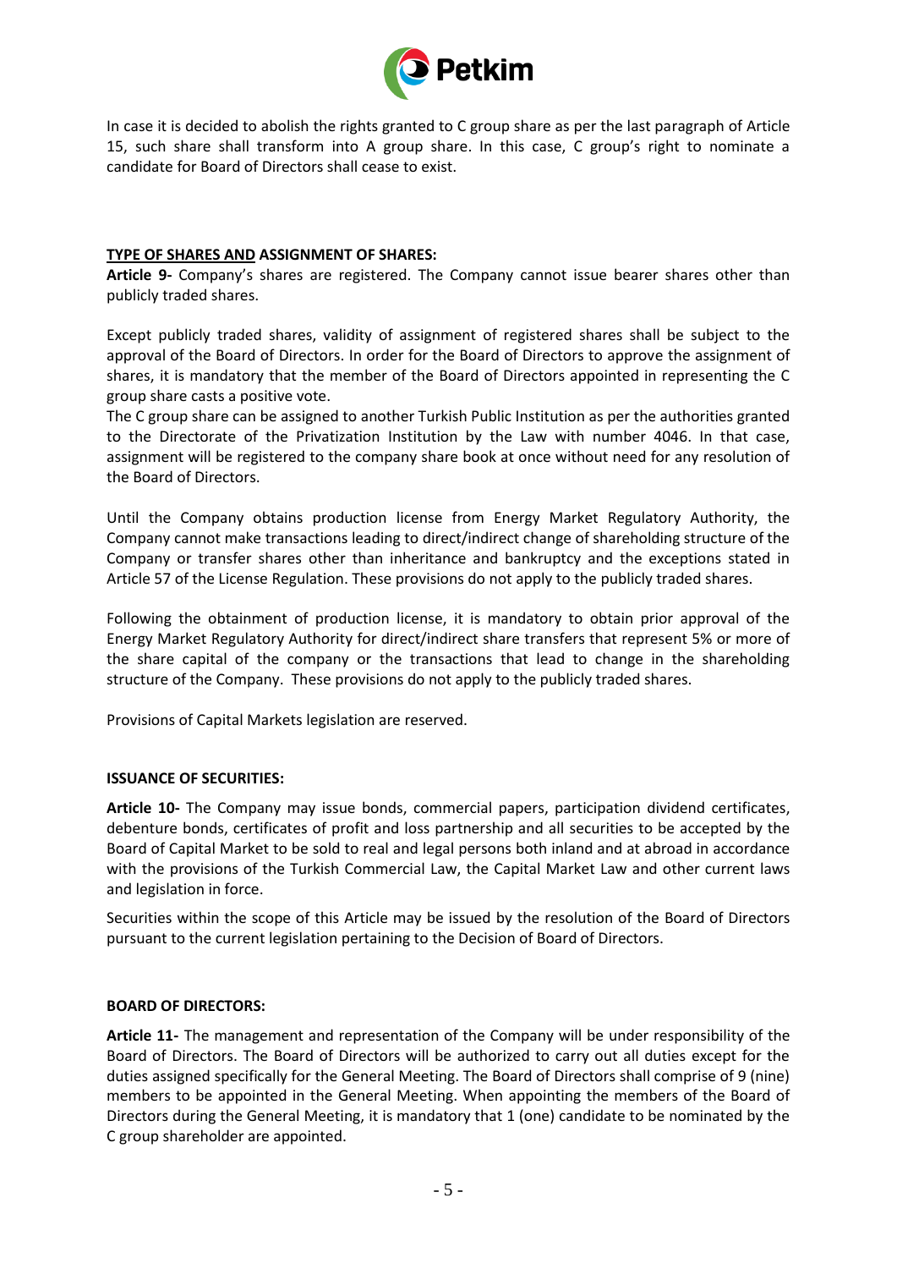

In case it is decided to abolish the rights granted to C group share as per the last paragraph of Article 15, such share shall transform into A group share. In this case, C group's right to nominate a candidate for Board of Directors shall cease to exist.

## **TYPE OF SHARES AND ASSIGNMENT OF SHARES:**

**Article 9-** Company's shares are registered. The Company cannot issue bearer shares other than publicly traded shares.

Except publicly traded shares, validity of assignment of registered shares shall be subject to the approval of the Board of Directors. In order for the Board of Directors to approve the assignment of shares, it is mandatory that the member of the Board of Directors appointed in representing the C group share casts a positive vote.

The C group share can be assigned to another Turkish Public Institution as per the authorities granted to the Directorate of the Privatization Institution by the Law with number 4046. In that case, assignment will be registered to the company share book at once without need for any resolution of the Board of Directors.

Until the Company obtains production license from Energy Market Regulatory Authority, the Company cannot make transactions leading to direct/indirect change of shareholding structure of the Company or transfer shares other than inheritance and bankruptcy and the exceptions stated in Article 57 of the License Regulation. These provisions do not apply to the publicly traded shares.

Following the obtainment of production license, it is mandatory to obtain prior approval of the Energy Market Regulatory Authority for direct/indirect share transfers that represent 5% or more of the share capital of the company or the transactions that lead to change in the shareholding structure of the Company. These provisions do not apply to the publicly traded shares.

Provisions of Capital Markets legislation are reserved.

## **ISSUANCE OF SECURITIES:**

**Article 10-** The Company may issue bonds, commercial papers, participation dividend certificates, debenture bonds, certificates of profit and loss partnership and all securities to be accepted by the Board of Capital Market to be sold to real and legal persons both inland and at abroad in accordance with the provisions of the Turkish Commercial Law, the Capital Market Law and other current laws and legislation in force.

Securities within the scope of this Article may be issued by the resolution of the Board of Directors pursuant to the current legislation pertaining to the Decision of Board of Directors.

## **BOARD OF DIRECTORS:**

**Article 11-** The management and representation of the Company will be under responsibility of the Board of Directors. The Board of Directors will be authorized to carry out all duties except for the duties assigned specifically for the General Meeting. The Board of Directors shall comprise of 9 (nine) members to be appointed in the General Meeting. When appointing the members of the Board of Directors during the General Meeting, it is mandatory that 1 (one) candidate to be nominated by the C group shareholder are appointed.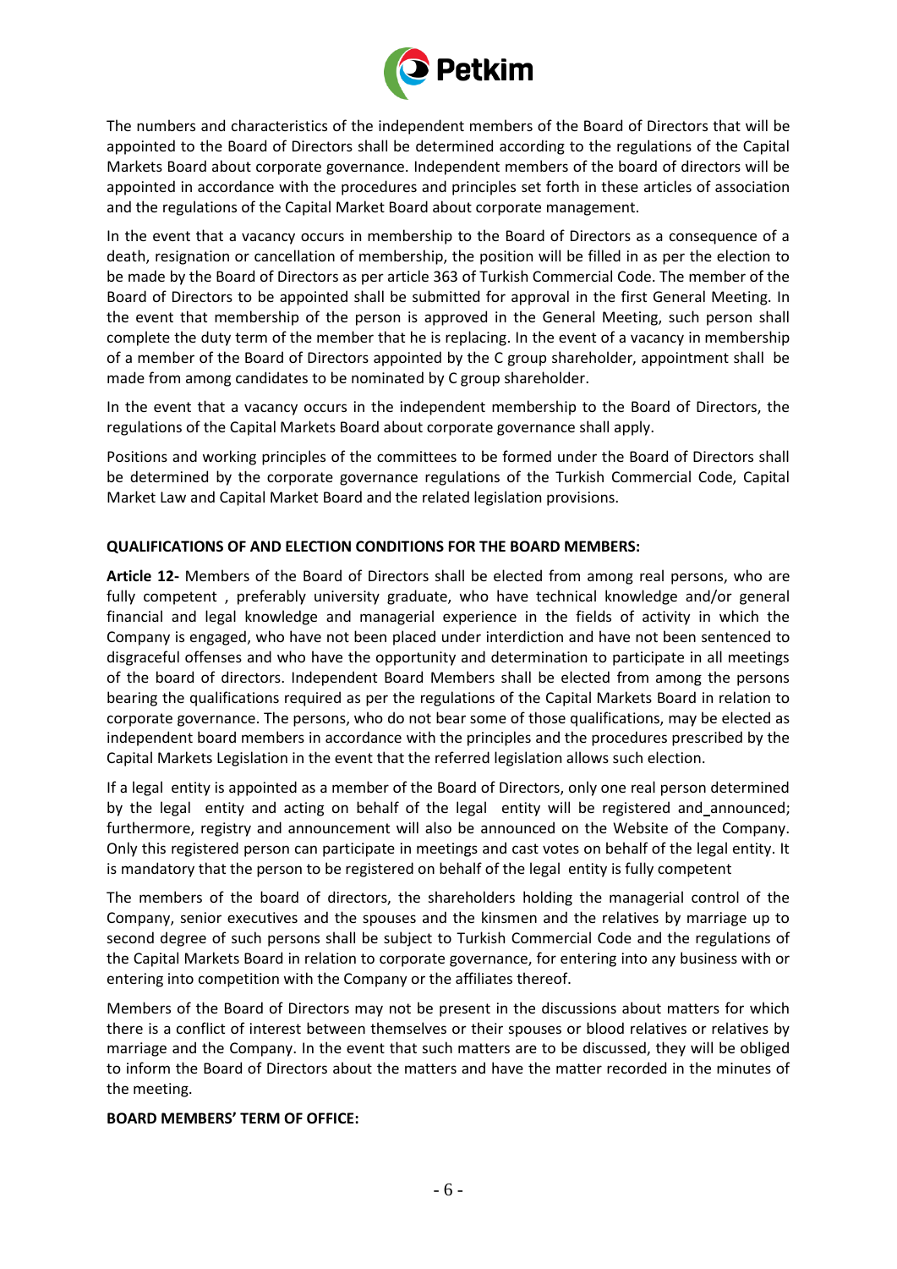

The numbers and characteristics of the independent members of the Board of Directors that will be appointed to the Board of Directors shall be determined according to the regulations of the Capital Markets Board about corporate governance. Independent members of the board of directors will be appointed in accordance with the procedures and principles set forth in these articles of association and the regulations of the Capital Market Board about corporate management.

In the event that a vacancy occurs in membership to the Board of Directors as a consequence of a death, resignation or cancellation of membership, the position will be filled in as per the election to be made by the Board of Directors as per article 363 of Turkish Commercial Code. The member of the Board of Directors to be appointed shall be submitted for approval in the first General Meeting. In the event that membership of the person is approved in the General Meeting, such person shall complete the duty term of the member that he is replacing. In the event of a vacancy in membership of a member of the Board of Directors appointed by the C group shareholder, appointment shall be made from among candidates to be nominated by C group shareholder.

In the event that a vacancy occurs in the independent membership to the Board of Directors, the regulations of the Capital Markets Board about corporate governance shall apply.

Positions and working principles of the committees to be formed under the Board of Directors shall be determined by the corporate governance regulations of the Turkish Commercial Code, Capital Market Law and Capital Market Board and the related legislation provisions.

# **QUALIFICATIONS OF AND ELECTION CONDITIONS FOR THE BOARD MEMBERS:**

**Article 12-** Members of the Board of Directors shall be elected from among real persons, who are fully competent, preferably university graduate, who have technical knowledge and/or general financial and legal knowledge and managerial experience in the fields of activity in which the Company is engaged, who have not been placed under interdiction and have not been sentenced to disgraceful offenses and who have the opportunity and determination to participate in all meetings of the board of directors. Independent Board Members shall be elected from among the persons bearing the qualifications required as per the regulations of the Capital Markets Board in relation to corporate governance. The persons, who do not bear some of those qualifications, may be elected as independent board members in accordance with the principles and the procedures prescribed by the Capital Markets Legislation in the event that the referred legislation allows such election.

If a legal entity is appointed as a member of the Board of Directors, only one real person determined by the legal entity and acting on behalf of the legal entity will be registered and announced; furthermore, registry and announcement will also be announced on the Website of the Company. Only this registered person can participate in meetings and cast votes on behalf of the legal entity. It is mandatory that the person to be registered on behalf of the legal entity is fully competent

The members of the board of directors, the shareholders holding the managerial control of the Company, senior executives and the spouses and the kinsmen and the relatives by marriage up to second degree of such persons shall be subject to Turkish Commercial Code and the regulations of the Capital Markets Board in relation to corporate governance, for entering into any business with or entering into competition with the Company or the affiliates thereof.

Members of the Board of Directors may not be present in the discussions about matters for which there is a conflict of interest between themselves or their spouses or blood relatives or relatives by marriage and the Company. In the event that such matters are to be discussed, they will be obliged to inform the Board of Directors about the matters and have the matter recorded in the minutes of the meeting.

# **BOARD MEMBERS' TERM OF OFFICE:**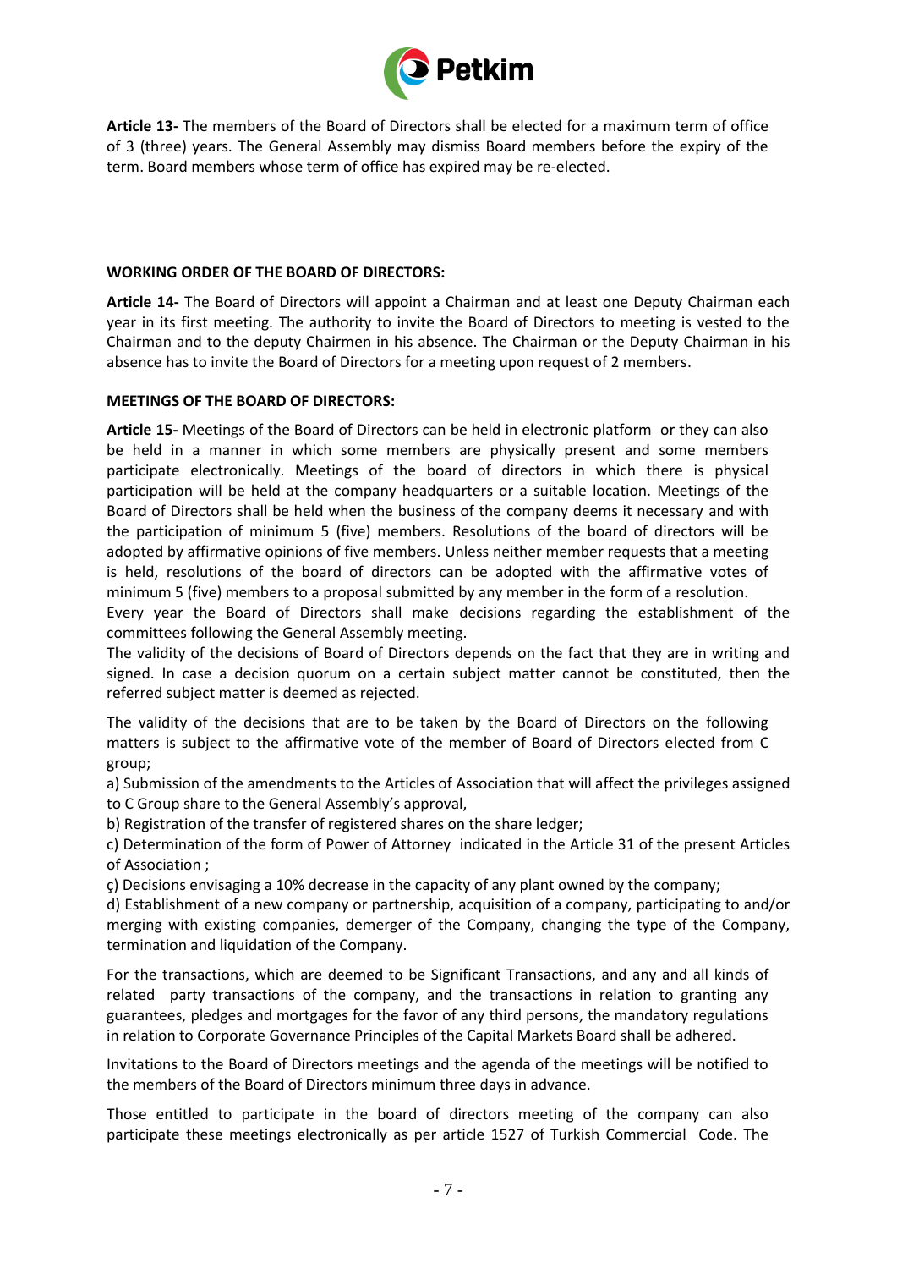

**Article 13-** The members of the Board of Directors shall be elected for a maximum term of office of 3 (three) years. The General Assembly may dismiss Board members before the expiry of the term. Board members whose term of office has expired may be re-elected.

## **WORKING ORDER OF THE BOARD OF DIRECTORS:**

**Article 14-** The Board of Directors will appoint a Chairman and at least one Deputy Chairman each year in its first meeting. The authority to invite the Board of Directors to meeting is vested to the Chairman and to the deputy Chairmen in his absence. The Chairman or the Deputy Chairman in his absence has to invite the Board of Directors for a meeting upon request of 2 members.

# **MEETINGS OF THE BOARD OF DIRECTORS:**

**Article 15-** Meetings of the Board of Directors can be held in electronic platform or they can also be held in a manner in which some members are physically present and some members participate electronically. Meetings of the board of directors in which there is physical participation will be held at the company headquarters or a suitable location. Meetings of the Board of Directors shall be held when the business of the company deems it necessary and with the participation of minimum 5 (five) members. Resolutions of the board of directors will be adopted by affirmative opinions of five members. Unless neither member requests that a meeting is held, resolutions of the board of directors can be adopted with the affirmative votes of minimum 5 (five) members to a proposal submitted by any member in the form of a resolution.

Every year the Board of Directors shall make decisions regarding the establishment of the committees following the General Assembly meeting.

The validity of the decisions of Board of Directors depends on the fact that they are in writing and signed. In case a decision quorum on a certain subject matter cannot be constituted, then the referred subject matter is deemed as rejected.

The validity of the decisions that are to be taken by the Board of Directors on the following matters is subject to the affirmative vote of the member of Board of Directors elected from C group;

a) Submission of the amendments to the Articles of Association that will affect the privileges assigned to C Group share to the General Assembly's approval,

b) Registration of the transfer of registered shares on the share ledger;

c) Determination of the form of Power of Attorney indicated in the Article 31 of the present Articles of Association ;

ç) Decisions envisaging a 10% decrease in the capacity of any plant owned by the company;

d) Establishment of a new company or partnership, acquisition of a company, participating to and/or merging with existing companies, demerger of the Company, changing the type of the Company, termination and liquidation of the Company.

For the transactions, which are deemed to be Significant Transactions, and any and all kinds of related party transactions of the company, and the transactions in relation to granting any guarantees, pledges and mortgages for the favor of any third persons, the mandatory regulations in relation to Corporate Governance Principles of the Capital Markets Board shall be adhered.

Invitations to the Board of Directors meetings and the agenda of the meetings will be notified to the members of the Board of Directors minimum three days in advance.

Those entitled to participate in the board of directors meeting of the company can also participate these meetings electronically as per article 1527 of Turkish Commercial Code. The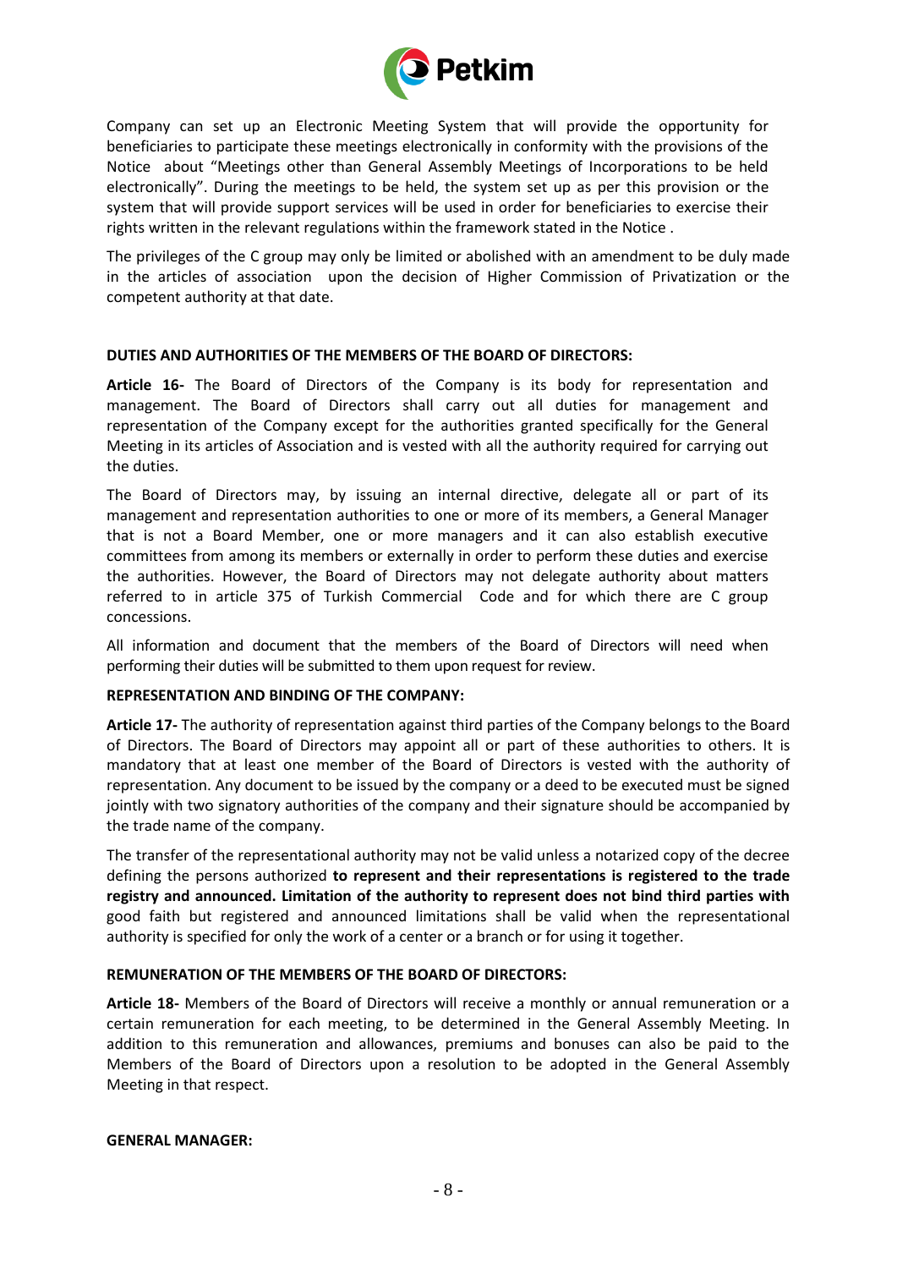

Company can set up an Electronic Meeting System that will provide the opportunity for beneficiaries to participate these meetings electronically in conformity with the provisions of the Notice about "Meetings other than General Assembly Meetings of Incorporations to be held electronically". During the meetings to be held, the system set up as per this provision or the system that will provide support services will be used in order for beneficiaries to exercise their rights written in the relevant regulations within the framework stated in the Notice .

The privileges of the C group may only be limited or abolished with an amendment to be duly made in the articles of association upon the decision of Higher Commission of Privatization or the competent authority at that date.

# **DUTIES AND AUTHORITIES OF THE MEMBERS OF THE BOARD OF DIRECTORS:**

**Article 16-** The Board of Directors of the Company is its body for representation and management. The Board of Directors shall carry out all duties for management and representation of the Company except for the authorities granted specifically for the General Meeting in its articles of Association and is vested with all the authority required for carrying out the duties.

The Board of Directors may, by issuing an internal directive, delegate all or part of its management and representation authorities to one or more of its members, a General Manager that is not a Board Member, one or more managers and it can also establish executive committees from among its members or externally in order to perform these duties and exercise the authorities. However, the Board of Directors may not delegate authority about matters referred to in article 375 of Turkish Commercial Code and for which there are C group concessions.

All information and document that the members of the Board of Directors will need when performing their duties will be submitted to them upon request for review.

## **REPRESENTATION AND BINDING OF THE COMPANY:**

**Article 17-** The authority of representation against third parties of the Company belongs to the Board of Directors. The Board of Directors may appoint all or part of these authorities to others. It is mandatory that at least one member of the Board of Directors is vested with the authority of representation. Any document to be issued by the company or a deed to be executed must be signed jointly with two signatory authorities of the company and their signature should be accompanied by the trade name of the company.

The transfer of the representational authority may not be valid unless a notarized copy of the decree defining the persons authorized **to represent and their representations is registered to the trade registry and announced. Limitation of the authority to represent does not bind third parties with**  good faith but registered and announced limitations shall be valid when the representational authority is specified for only the work of a center or a branch or for using it together.

## **REMUNERATION OF THE MEMBERS OF THE BOARD OF DIRECTORS:**

**Article 18-** Members of the Board of Directors will receive a monthly or annual remuneration or a certain remuneration for each meeting, to be determined in the General Assembly Meeting. In addition to this remuneration and allowances, premiums and bonuses can also be paid to the Members of the Board of Directors upon a resolution to be adopted in the General Assembly Meeting in that respect.

## **GENERAL MANAGER:**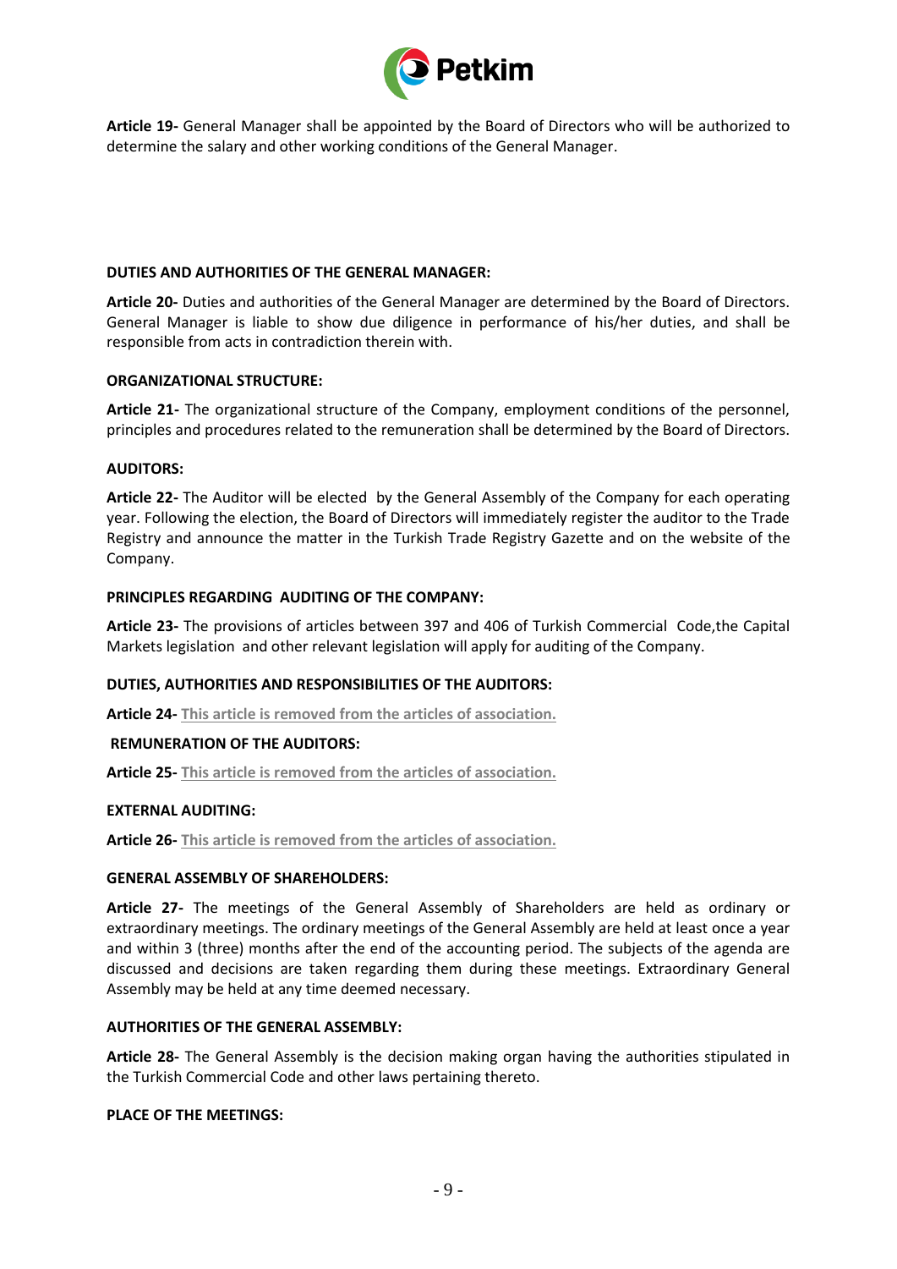

**Article 19-** General Manager shall be appointed by the Board of Directors who will be authorized to determine the salary and other working conditions of the General Manager.

## **DUTIES AND AUTHORITIES OF THE GENERAL MANAGER:**

**Article 20-** Duties and authorities of the General Manager are determined by the Board of Directors. General Manager is liable to show due diligence in performance of his/her duties, and shall be responsible from acts in contradiction therein with.

# **ORGANIZATIONAL STRUCTURE:**

**Article 21-** The organizational structure of the Company, employment conditions of the personnel, principles and procedures related to the remuneration shall be determined by the Board of Directors.

# **AUDITORS:**

**Article 22-** The Auditor will be elected by the General Assembly of the Company for each operating year. Following the election, the Board of Directors will immediately register the auditor to the Trade Registry and announce the matter in the Turkish Trade Registry Gazette and on the website of the Company.

# **PRINCIPLES REGARDING AUDITING OF THE COMPANY:**

**Article 23-** The provisions of articles between 397 and 406 of Turkish Commercial Code,the Capital Markets legislation and other relevant legislation will apply for auditing of the Company.

# **DUTIES, AUTHORITIES AND RESPONSIBILITIES OF THE AUDITORS:**

**Article 24- This article is removed from the articles of association.**

## **REMUNERATION OF THE AUDITORS:**

**Article 25- This article is removed from the articles of association.**

# **EXTERNAL AUDITING:**

**Article 26- This article is removed from the articles of association.**

## **GENERAL ASSEMBLY OF SHAREHOLDERS:**

**Article 27-** The meetings of the General Assembly of Shareholders are held as ordinary or extraordinary meetings. The ordinary meetings of the General Assembly are held at least once a year and within 3 (three) months after the end of the accounting period. The subjects of the agenda are discussed and decisions are taken regarding them during these meetings. Extraordinary General Assembly may be held at any time deemed necessary.

## **AUTHORITIES OF THE GENERAL ASSEMBLY:**

**Article 28-** The General Assembly is the decision making organ having the authorities stipulated in the Turkish Commercial Code and other laws pertaining thereto.

## **PLACE OF THE MEETINGS:**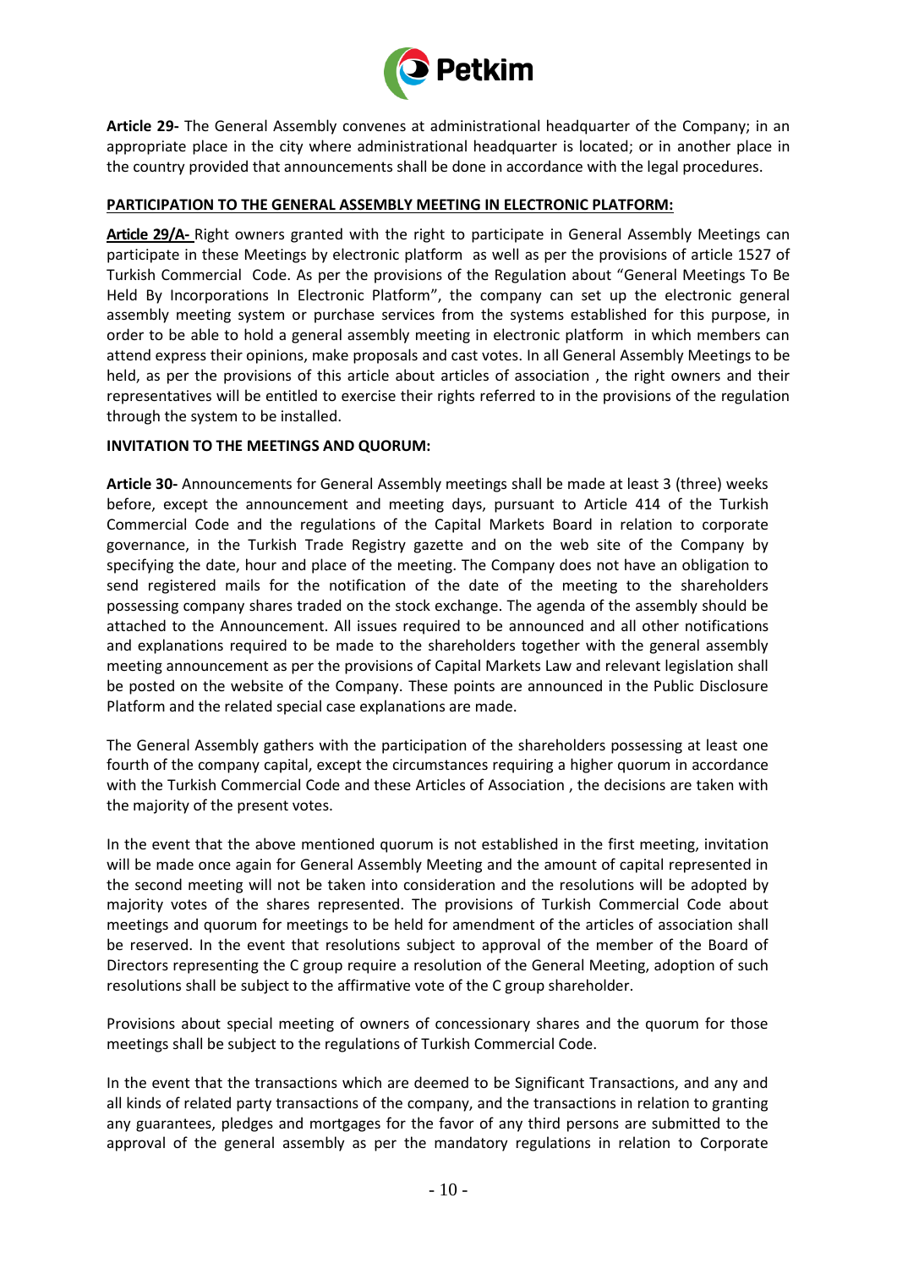

**Article 29-** The General Assembly convenes at administrational headquarter of the Company; in an appropriate place in the city where administrational headquarter is located; or in another place in the country provided that announcements shall be done in accordance with the legal procedures.

# **PARTICIPATION TO THE GENERAL ASSEMBLY MEETING IN ELECTRONIC PLATFORM:**

**Article 29/A-** Right owners granted with the right to participate in General Assembly Meetings can participate in these Meetings by electronic platform as well as per the provisions of article 1527 of Turkish Commercial Code. As per the provisions of the Regulation about "General Meetings To Be Held By Incorporations In Electronic Platform", the company can set up the electronic general assembly meeting system or purchase services from the systems established for this purpose, in order to be able to hold a general assembly meeting in electronic platform in which members can attend express their opinions, make proposals and cast votes. In all General Assembly Meetings to be held, as per the provisions of this article about articles of association , the right owners and their representatives will be entitled to exercise their rights referred to in the provisions of the regulation through the system to be installed.

## **INVITATION TO THE MEETINGS AND QUORUM:**

**Article 30-** Announcements for General Assembly meetings shall be made at least 3 (three) weeks before, except the announcement and meeting days, pursuant to Article 414 of the Turkish Commercial Code and the regulations of the Capital Markets Board in relation to corporate governance, in the Turkish Trade Registry gazette and on the web site of the Company by specifying the date, hour and place of the meeting. The Company does not have an obligation to send registered mails for the notification of the date of the meeting to the shareholders possessing company shares traded on the stock exchange. The agenda of the assembly should be attached to the Announcement. All issues required to be announced and all other notifications and explanations required to be made to the shareholders together with the general assembly meeting announcement as per the provisions of Capital Markets Law and relevant legislation shall be posted on the website of the Company. These points are announced in the Public Disclosure Platform and the related special case explanations are made.

The General Assembly gathers with the participation of the shareholders possessing at least one fourth of the company capital, except the circumstances requiring a higher quorum in accordance with the Turkish Commercial Code and these Articles of Association , the decisions are taken with the majority of the present votes.

In the event that the above mentioned quorum is not established in the first meeting, invitation will be made once again for General Assembly Meeting and the amount of capital represented in the second meeting will not be taken into consideration and the resolutions will be adopted by majority votes of the shares represented. The provisions of Turkish Commercial Code about meetings and quorum for meetings to be held for amendment of the articles of association shall be reserved. In the event that resolutions subject to approval of the member of the Board of Directors representing the C group require a resolution of the General Meeting, adoption of such resolutions shall be subject to the affirmative vote of the C group shareholder.

Provisions about special meeting of owners of concessionary shares and the quorum for those meetings shall be subject to the regulations of Turkish Commercial Code.

In the event that the transactions which are deemed to be Significant Transactions, and any and all kinds of related party transactions of the company, and the transactions in relation to granting any guarantees, pledges and mortgages for the favor of any third persons are submitted to the approval of the general assembly as per the mandatory regulations in relation to Corporate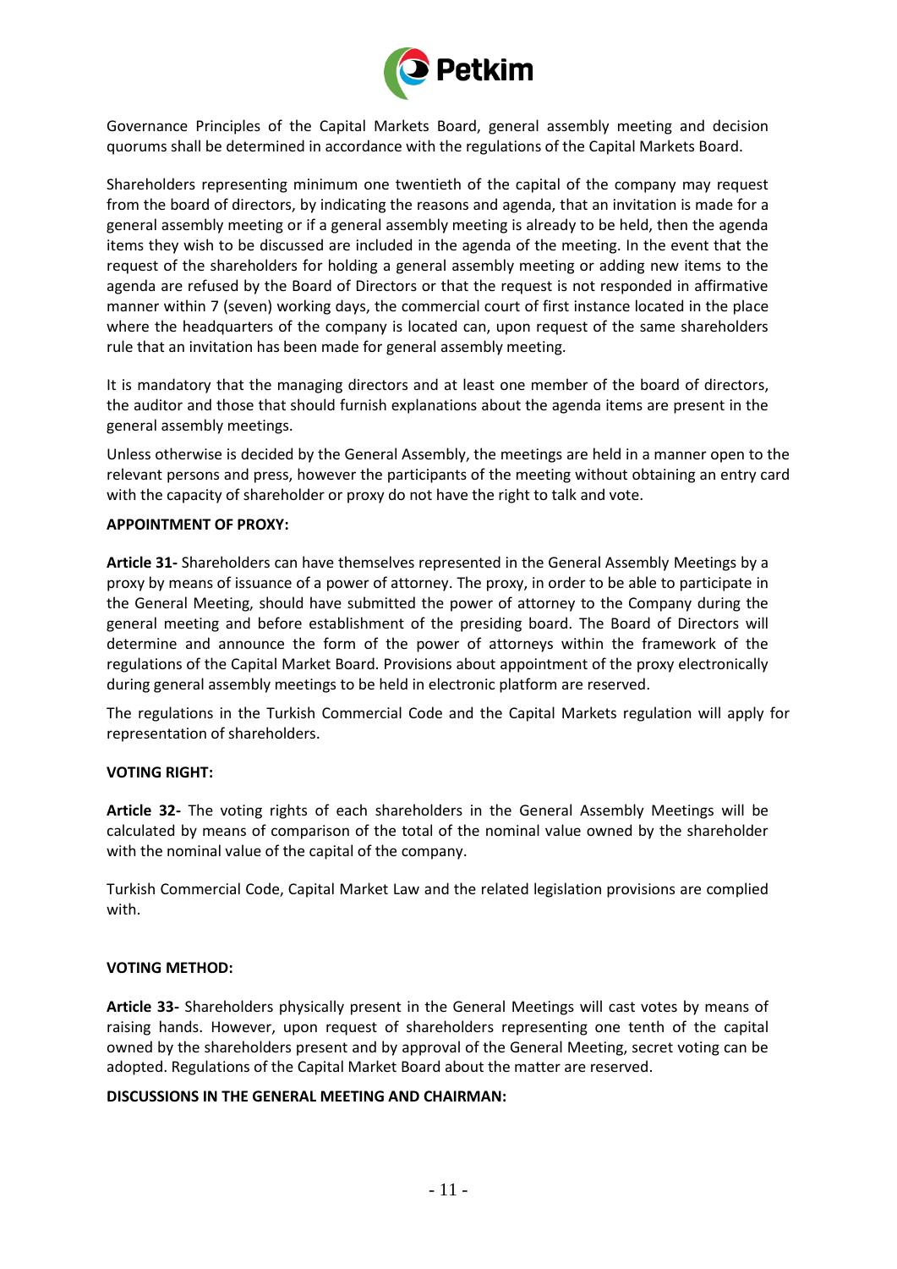

Governance Principles of the Capital Markets Board, general assembly meeting and decision quorums shall be determined in accordance with the regulations of the Capital Markets Board.

Shareholders representing minimum one twentieth of the capital of the company may request from the board of directors, by indicating the reasons and agenda, that an invitation is made for a general assembly meeting or if a general assembly meeting is already to be held, then the agenda items they wish to be discussed are included in the agenda of the meeting. In the event that the request of the shareholders for holding a general assembly meeting or adding new items to the agenda are refused by the Board of Directors or that the request is not responded in affirmative manner within 7 (seven) working days, the commercial court of first instance located in the place where the headquarters of the company is located can, upon request of the same shareholders rule that an invitation has been made for general assembly meeting.

It is mandatory that the managing directors and at least one member of the board of directors, the auditor and those that should furnish explanations about the agenda items are present in the general assembly meetings.

Unless otherwise is decided by the General Assembly, the meetings are held in a manner open to the relevant persons and press, however the participants of the meeting without obtaining an entry card with the capacity of shareholder or proxy do not have the right to talk and vote.

## **APPOINTMENT OF PROXY:**

**Article 31-** Shareholders can have themselves represented in the General Assembly Meetings by a proxy by means of issuance of a power of attorney. The proxy, in order to be able to participate in the General Meeting, should have submitted the power of attorney to the Company during the general meeting and before establishment of the presiding board. The Board of Directors will determine and announce the form of the power of attorneys within the framework of the regulations of the Capital Market Board. Provisions about appointment of the proxy electronically during general assembly meetings to be held in electronic platform are reserved.

The regulations in the Turkish Commercial Code and the Capital Markets regulation will apply for representation of shareholders.

## **VOTING RIGHT:**

**Article 32-** The voting rights of each shareholders in the General Assembly Meetings will be calculated by means of comparison of the total of the nominal value owned by the shareholder with the nominal value of the capital of the company.

Turkish Commercial Code, Capital Market Law and the related legislation provisions are complied with.

## **VOTING METHOD:**

**Article 33-** Shareholders physically present in the General Meetings will cast votes by means of raising hands. However, upon request of shareholders representing one tenth of the capital owned by the shareholders present and by approval of the General Meeting, secret voting can be adopted. Regulations of the Capital Market Board about the matter are reserved.

## **DISCUSSIONS IN THE GENERAL MEETING AND CHAIRMAN:**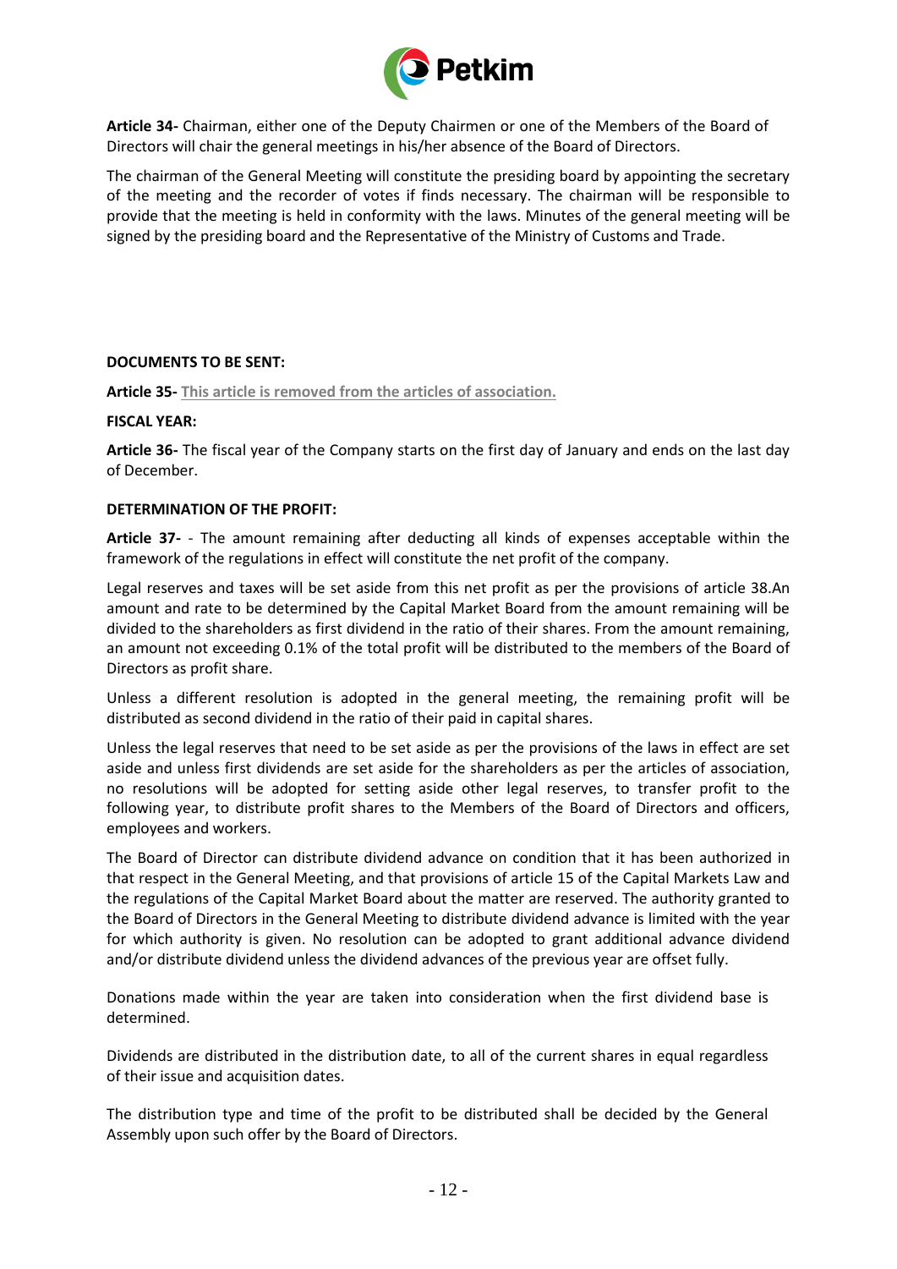

**Article 34-** Chairman, either one of the Deputy Chairmen or one of the Members of the Board of Directors will chair the general meetings in his/her absence of the Board of Directors.

The chairman of the General Meeting will constitute the presiding board by appointing the secretary of the meeting and the recorder of votes if finds necessary. The chairman will be responsible to provide that the meeting is held in conformity with the laws. Minutes of the general meeting will be signed by the presiding board and the Representative of the Ministry of Customs and Trade.

## **DOCUMENTS TO BE SENT:**

**Article 35- This article is removed from the articles of association.**

# **FISCAL YEAR:**

**Article 36-** The fiscal year of the Company starts on the first day of January and ends on the last day of December.

# **DETERMINATION OF THE PROFIT:**

**Article 37-** - The amount remaining after deducting all kinds of expenses acceptable within the framework of the regulations in effect will constitute the net profit of the company.

Legal reserves and taxes will be set aside from this net profit as per the provisions of article 38.An amount and rate to be determined by the Capital Market Board from the amount remaining will be divided to the shareholders as first dividend in the ratio of their shares. From the amount remaining, an amount not exceeding 0.1% of the total profit will be distributed to the members of the Board of Directors as profit share.

Unless a different resolution is adopted in the general meeting, the remaining profit will be distributed as second dividend in the ratio of their paid in capital shares.

Unless the legal reserves that need to be set aside as per the provisions of the laws in effect are set aside and unless first dividends are set aside for the shareholders as per the articles of association, no resolutions will be adopted for setting aside other legal reserves, to transfer profit to the following year, to distribute profit shares to the Members of the Board of Directors and officers, employees and workers.

The Board of Director can distribute dividend advance on condition that it has been authorized in that respect in the General Meeting, and that provisions of article 15 of the Capital Markets Law and the regulations of the Capital Market Board about the matter are reserved. The authority granted to the Board of Directors in the General Meeting to distribute dividend advance is limited with the year for which authority is given. No resolution can be adopted to grant additional advance dividend and/or distribute dividend unless the dividend advances of the previous year are offset fully.

Donations made within the year are taken into consideration when the first dividend base is determined.

Dividends are distributed in the distribution date, to all of the current shares in equal regardless of their issue and acquisition dates.

The distribution type and time of the profit to be distributed shall be decided by the General Assembly upon such offer by the Board of Directors.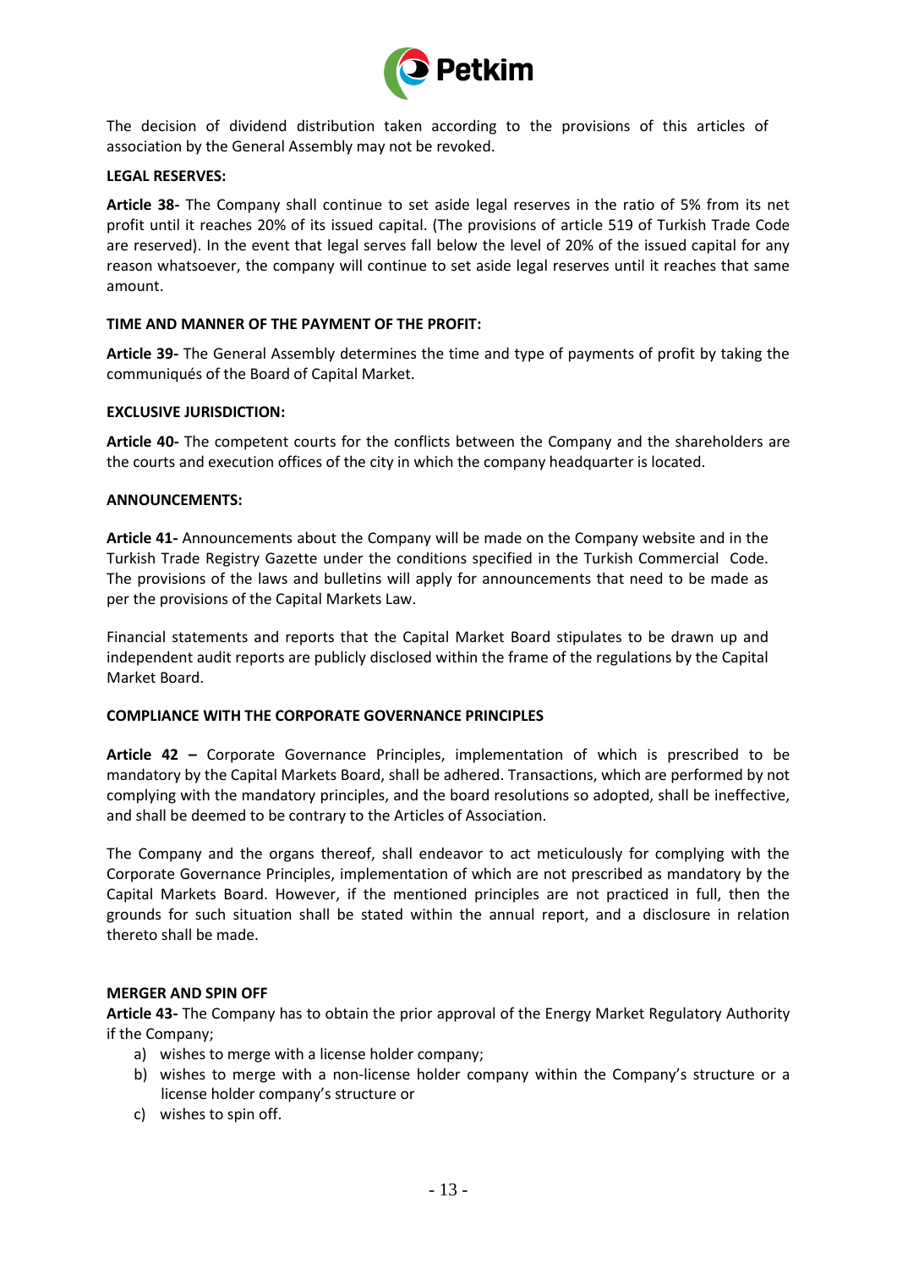

The decision of dividend distribution taken according to the provisions of this articles of association by the General Assembly may not be revoked.

### **LEGAL RESERVES:**

**Article 38-** The Company shall continue to set aside legal reserves in the ratio of 5% from its net profit until it reaches 20% of its issued capital. (The provisions of article 519 of Turkish Trade Code are reserved). In the event that legal serves fall below the level of 20% of the issued capital for any reason whatsoever, the company will continue to set aside legal reserves until it reaches that same amount.

### **TIME AND MANNER OF THE PAYMENT OF THE PROFIT:**

**Article 39-** The General Assembly determines the time and type of payments of profit by taking the communiqués of the Board of Capital Market.

### **EXCLUSIVE JURISDICTION:**

**Article 40-** The competent courts for the conflicts between the Company and the shareholders are the courts and execution offices of the city in which the company headquarter is located.

### **ANNOUNCEMENTS:**

**Article 41-** Announcements about the Company will be made on the Company website and in the Turkish Trade Registry Gazette under the conditions specified in the Turkish Commercial Code. The provisions of the laws and bulletins will apply for announcements that need to be made as per the provisions of the Capital Markets Law.

Financial statements and reports that the Capital Market Board stipulates to be drawn up and independent audit reports are publicly disclosed within the frame of the regulations by the Capital Market Board.

#### **COMPLIANCE WITH THE CORPORATE GOVERNANCE PRINCIPLES**

**Article 42 –** Corporate Governance Principles, implementation of which is prescribed to be mandatory by the Capital Markets Board, shall be adhered. Transactions, which are performed by not complying with the mandatory principles, and the board resolutions so adopted, shall be ineffective, and shall be deemed to be contrary to the Articles of Association.

The Company and the organs thereof, shall endeavor to act meticulously for complying with the Corporate Governance Principles, implementation of which are not prescribed as mandatory by the Capital Markets Board. However, if the mentioned principles are not practiced in full, then the grounds for such situation shall be stated within the annual report, and a disclosure in relation thereto shall be made.

#### **MERGER AND SPIN OFF**

**Article 43-** The Company has to obtain the prior approval of the Energy Market Regulatory Authority if the Company;

- a) wishes to merge with a license holder company;
- b) wishes to merge with a non-license holder company within the Company's structure or a license holder company's structure or
- c) wishes to spin off.